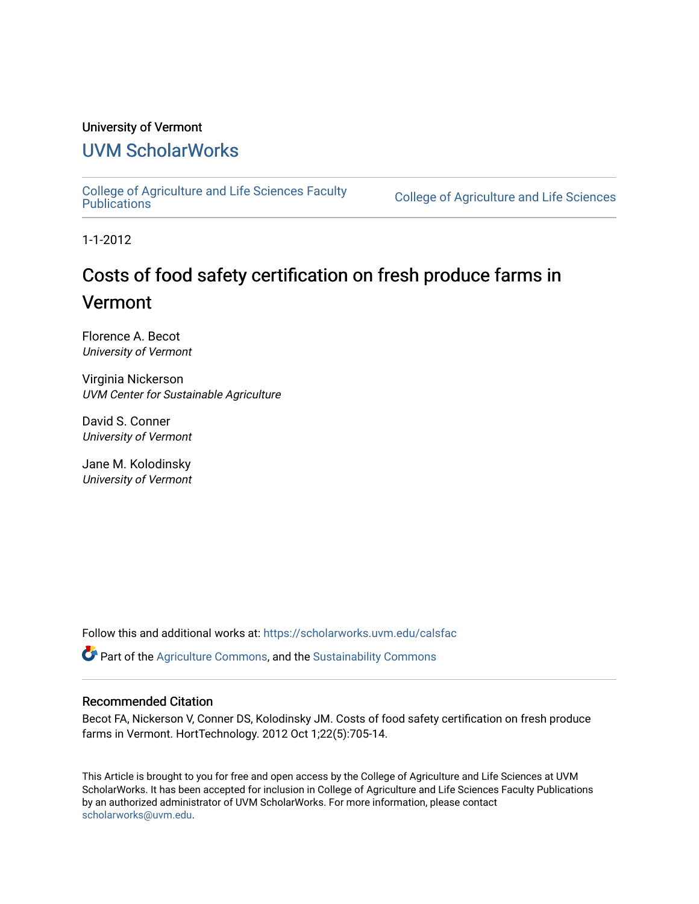#### University of Vermont

### [UVM ScholarWorks](https://scholarworks.uvm.edu/)

[College of Agriculture and Life Sciences Faculty](https://scholarworks.uvm.edu/calsfac) 

**College of Agriculture and Life Sciences** 

1-1-2012

## Costs of food safety certification on fresh produce farms in Vermont

Florence A. Becot University of Vermont

Virginia Nickerson UVM Center for Sustainable Agriculture

David S. Conner University of Vermont

Jane M. Kolodinsky University of Vermont

Follow this and additional works at: [https://scholarworks.uvm.edu/calsfac](https://scholarworks.uvm.edu/calsfac?utm_source=scholarworks.uvm.edu%2Fcalsfac%2F43&utm_medium=PDF&utm_campaign=PDFCoverPages)

**P** Part of the [Agriculture Commons](http://network.bepress.com/hgg/discipline/1076?utm_source=scholarworks.uvm.edu%2Fcalsfac%2F43&utm_medium=PDF&utm_campaign=PDFCoverPages), and the Sustainability Commons

#### Recommended Citation

Becot FA, Nickerson V, Conner DS, Kolodinsky JM. Costs of food safety certification on fresh produce farms in Vermont. HortTechnology. 2012 Oct 1;22(5):705-14.

This Article is brought to you for free and open access by the College of Agriculture and Life Sciences at UVM ScholarWorks. It has been accepted for inclusion in College of Agriculture and Life Sciences Faculty Publications by an authorized administrator of UVM ScholarWorks. For more information, please contact [scholarworks@uvm.edu](mailto:scholarworks@uvm.edu).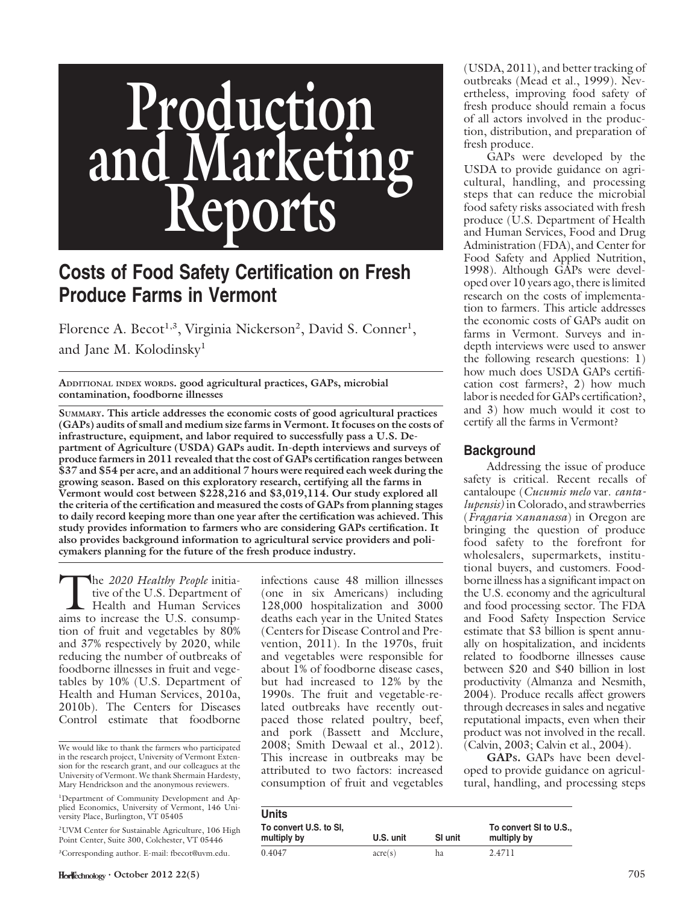# Production<br>nd Marketir and M Reports

## Costs of Food Safety Certification on Fresh Produce Farms in Vermont

Florence A. Becot<sup>1,3</sup>, Virginia Nickerson<sup>2</sup>, David S. Conner<sup>1</sup>, and Jane M. Kolodinsky<sup>1</sup>

ADDITIONAL INDEX WORDS. good agricultural practices, GAPs, microbial contamination, foodborne illnesses

SUMMARY. This article addresses the economic costs of good agricultural practices (GAPs) audits of small and medium size farms in Vermont. It focuses on the costs of infrastructure, equipment, and labor required to successfully pass a U.S. Department of Agriculture (USDA) GAPs audit. In-depth interviews and surveys of produce farmers in 2011 revealed that the cost of GAPs certification ranges between \$37 and \$54 per acre, and an additional 7 hours were required each week during the growing season. Based on this exploratory research, certifying all the farms in Vermont would cost between \$228,216 and \$3,019,114. Our study explored all the criteria of the certification and measured the costs of GAPs from planning stages to daily record keeping more than one year after the certification was achieved. This study provides information to farmers who are considering GAPs certification. It also provides background information to agricultural service providers and policymakers planning for the future of the fresh produce industry.

The 2020 Healthy People initiative of the U.S. Department of Health and Human Services aims to increase the U.S. consumption of fruit and vegetables by 80% and 37% respectively by 2020, while reducing the number of outbreaks of foodborne illnesses in fruit and vegetables by 10% (U.S. Department of Health and Human Services, 2010a, 2010b). The Centers for Diseases Control estimate that foodborne

infections cause 48 million illnesses (one in six Americans) including 128,000 hospitalization and 3000 deaths each year in the United States (Centers for Disease Control and Prevention, 2011). In the 1970s, fruit and vegetables were responsible for about 1% of foodborne disease cases, but had increased to 12% by the 1990s. The fruit and vegetable-related outbreaks have recently outpaced those related poultry, beef, and pork (Bassett and Mcclure, 2008; Smith Dewaal et al., 2012). This increase in outbreaks may be attributed to two factors: increased consumption of fruit and vegetables

(USDA, 2011), and better tracking of outbreaks (Mead et al., 1999). Nevertheless, improving food safety of fresh produce should remain a focus of all actors involved in the production, distribution, and preparation of fresh produce.

GAPs were developed by the USDA to provide guidance on agricultural, handling, and processing steps that can reduce the microbial food safety risks associated with fresh produce (U.S. Department of Health and Human Services, Food and Drug Administration (FDA), and Center for Food Safety and Applied Nutrition, 1998). Although GAPs were developed over 10 years ago, there is limited research on the costs of implementation to farmers. This article addresses the economic costs of GAPs audit on farms in Vermont. Surveys and indepth interviews were used to answer the following research questions: 1) how much does USDA GAPs certification cost farmers?, 2) how much labor is needed for GAPs certification?, and 3) how much would it cost to certify all the farms in Vermont?

#### Background

Addressing the issue of produce safety is critical. Recent recalls of cantaloupe (Cucumis melo var. cantalupensis) in Colorado, and strawberries  $(Fragaria \times ananasa)$  in Oregon are bringing the question of produce food safety to the forefront for wholesalers, supermarkets, institutional buyers, and customers. Foodborne illness has a significant impact on the U.S. economy and the agricultural and food processing sector. The FDA and Food Safety Inspection Service estimate that \$3 billion is spent annually on hospitalization, and incidents related to foodborne illnesses cause between \$20 and \$40 billion in lost productivity (Almanza and Nesmith, 2004). Produce recalls affect growers through decreases in sales and negative reputational impacts, even when their product was not involved in the recall. (Calvin, 2003; Calvin et al., 2004).

GAPS. GAPs have been developed to provide guidance on agricultural, handling, and processing steps

| <b>Units</b>                          |           |         |                                     |
|---------------------------------------|-----------|---------|-------------------------------------|
| To convert U.S. to SI,<br>multiply by | U.S. unit | SI unit | To convert SI to U.S<br>multiply by |
| 0.4047                                | $\arccos$ | ha      | 2.4711                              |

We would like to thank the farmers who participated in the research project, University of Vermont Extension for the research grant, and our colleagues at the University of Vermont. We thank Shermain Hardesty, Mary Hendrickson and the anonymous reviewers.

<sup>1</sup> Department of Community Development and Applied Economics, University of Vermont, 146 University Place, Burlington, VT 05405

<sup>2</sup> UVM Center for Sustainable Agriculture, 106 High Point Center, Suite 300, Colchester, VT 05446

<sup>3</sup> Corresponding author. E-mail: fbecot@uvm.edu.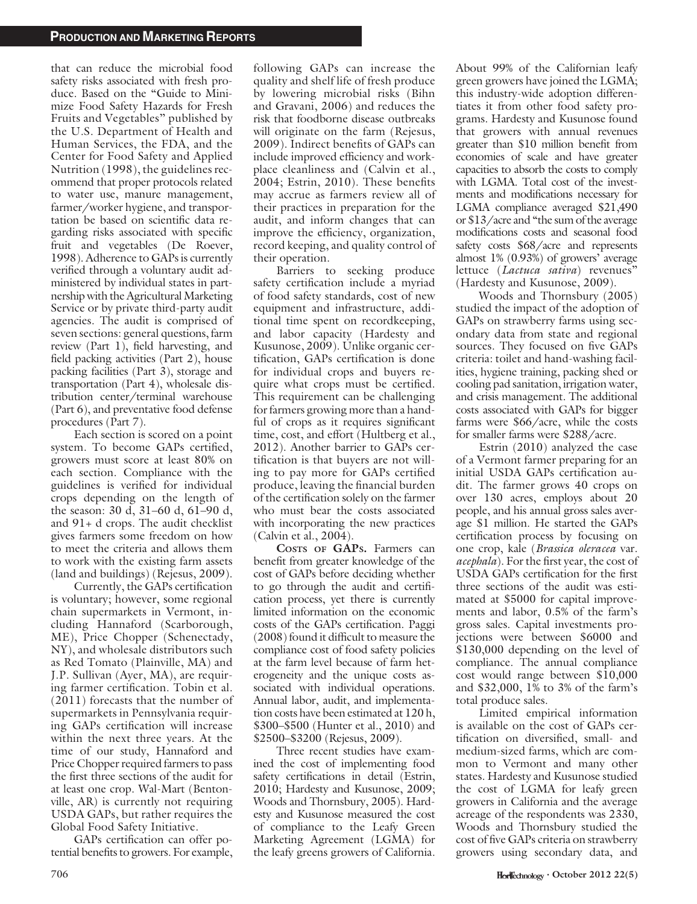that can reduce the microbial food safety risks associated with fresh produce. Based on the ''Guide to Minimize Food Safety Hazards for Fresh Fruits and Vegetables'' published by the U.S. Department of Health and Human Services, the FDA, and the Center for Food Safety and Applied Nutrition (1998), the guidelines recommend that proper protocols related to water use, manure management, farmer/worker hygiene, and transportation be based on scientific data regarding risks associated with specific fruit and vegetables (De Roever, 1998). Adherence to GAPs is currently verified through a voluntary audit administered by individual states in partnership with the Agricultural Marketing Service or by private third-party audit agencies. The audit is comprised of seven sections: general questions, farm review (Part 1), field harvesting, and field packing activities (Part 2), house packing facilities (Part 3), storage and transportation (Part 4), wholesale distribution center/terminal warehouse (Part 6), and preventative food defense procedures (Part 7).

Each section is scored on a point system. To become GAPs certified, growers must score at least 80% on each section. Compliance with the guidelines is verified for individual crops depending on the length of the season: 30 d, 31–60 d, 61–90 d, and 91+ d crops. The audit checklist gives farmers some freedom on how to meet the criteria and allows them to work with the existing farm assets (land and buildings) (Rejesus, 2009).

Currently, the GAPs certification is voluntary; however, some regional chain supermarkets in Vermont, including Hannaford (Scarborough, ME), Price Chopper (Schenectady, NY), and wholesale distributors such as Red Tomato (Plainville, MA) and J.P. Sullivan (Ayer, MA), are requiring farmer certification. Tobin et al. (2011) forecasts that the number of supermarkets in Pennsylvania requiring GAPs certification will increase within the next three years. At the time of our study, Hannaford and Price Chopper required farmers to pass the first three sections of the audit for at least one crop. Wal-Mart (Bentonville, AR) is currently not requiring USDA GAPs, but rather requires the Global Food Safety Initiative.

GAPs certification can offer potential benefits to growers. For example, following GAPs can increase the quality and shelf life of fresh produce by lowering microbial risks (Bihn and Gravani, 2006) and reduces the risk that foodborne disease outbreaks will originate on the farm (Rejesus, 2009). Indirect benefits of GAPs can include improved efficiency and workplace cleanliness and (Calvin et al., 2004; Estrin, 2010). These benefits may accrue as farmers review all of their practices in preparation for the audit, and inform changes that can improve the efficiency, organization, record keeping, and quality control of their operation.

Barriers to seeking produce safety certification include a myriad of food safety standards, cost of new equipment and infrastructure, additional time spent on recordkeeping, and labor capacity (Hardesty and Kusunose, 2009). Unlike organic certification, GAPs certification is done for individual crops and buyers require what crops must be certified. This requirement can be challenging for farmers growing more than a handful of crops as it requires significant time, cost, and effort (Hultberg et al., 2012). Another barrier to GAPs certification is that buyers are not willing to pay more for GAPs certified produce, leaving the financial burden of the certification solely on the farmer who must bear the costs associated with incorporating the new practices (Calvin et al., 2004).

COSTS OF GAPS. Farmers can benefit from greater knowledge of the cost of GAPs before deciding whether to go through the audit and certification process, yet there is currently limited information on the economic costs of the GAPs certification. Paggi (2008) found it difficult to measure the compliance cost of food safety policies at the farm level because of farm heterogeneity and the unique costs associated with individual operations. Annual labor, audit, and implementation costs have been estimated at 120 h, \$300–\$500 (Hunter et al., 2010) and \$2500–\$3200 (Rejesus, 2009).

Three recent studies have examined the cost of implementing food safety certifications in detail (Estrin, 2010; Hardesty and Kusunose, 2009; Woods and Thornsbury, 2005). Hardesty and Kusunose measured the cost of compliance to the Leafy Green Marketing Agreement (LGMA) for the leafy greens growers of California.

About 99% of the Californian leafy green growers have joined the LGMA; this industry-wide adoption differentiates it from other food safety programs. Hardesty and Kusunose found that growers with annual revenues greater than \$10 million benefit from economies of scale and have greater capacities to absorb the costs to comply with LGMA. Total cost of the investments and modifications necessary for LGMA compliance averaged \$21,490 or \$13/acre and ''the sum of the average modifications costs and seasonal food safety costs \$68/acre and represents almost 1% (0.93%) of growers' average lettuce (Lactuca sativa) revenues'' (Hardesty and Kusunose, 2009).

Woods and Thornsbury (2005) studied the impact of the adoption of GAPs on strawberry farms using secondary data from state and regional sources. They focused on five GAPs criteria: toilet and hand-washing facilities, hygiene training, packing shed or cooling pad sanitation, irrigation water, and crisis management. The additional costs associated with GAPs for bigger farms were \$66/acre, while the costs for smaller farms were \$288/acre.

Estrin (2010) analyzed the case of a Vermont farmer preparing for an initial USDA GAPs certification audit. The farmer grows 40 crops on over 130 acres, employs about 20 people, and his annual gross sales average \$1 million. He started the GAPs certification process by focusing on one crop, kale (Brassica oleracea var. acephala). For the first year, the cost of USDA GAPs certification for the first three sections of the audit was estimated at \$5000 for capital improvements and labor, 0.5% of the farm's gross sales. Capital investments projections were between \$6000 and \$130,000 depending on the level of compliance. The annual compliance cost would range between \$10,000 and \$32,000, 1% to 3% of the farm's total produce sales.

Limited empirical information is available on the cost of GAPs certification on diversified, small- and medium-sized farms, which are common to Vermont and many other states. Hardesty and Kusunose studied the cost of LGMA for leafy green growers in California and the average acreage of the respondents was 2330, Woods and Thornsbury studied the cost of five GAPs criteria on strawberry growers using secondary data, and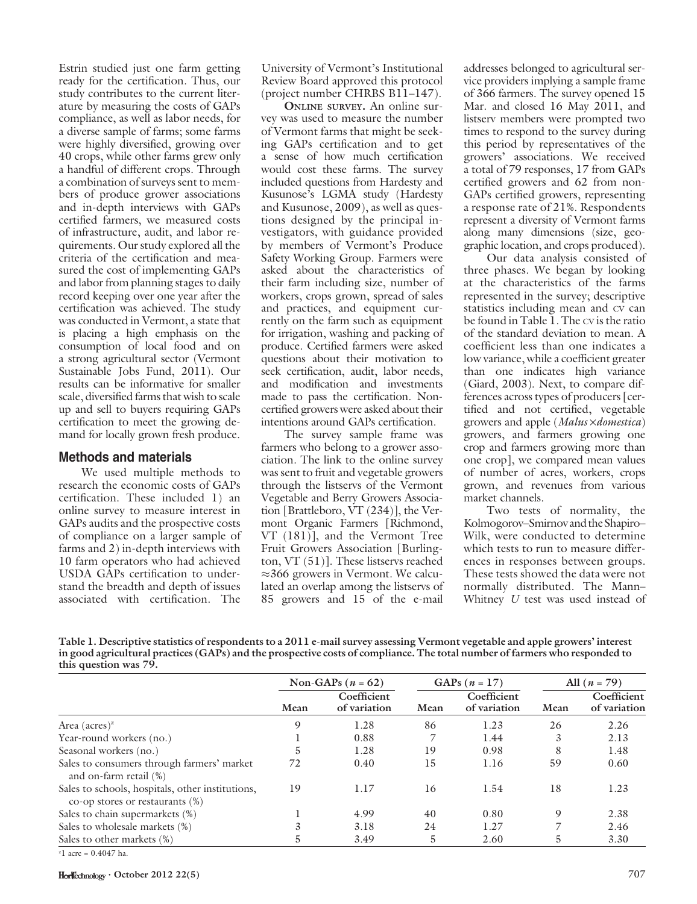Estrin studied just one farm getting ready for the certification. Thus, our study contributes to the current literature by measuring the costs of GAPs compliance, as well as labor needs, for a diverse sample of farms; some farms were highly diversified, growing over 40 crops, while other farms grew only a handful of different crops. Through a combination of surveys sent to members of produce grower associations and in-depth interviews with GAPs certified farmers, we measured costs of infrastructure, audit, and labor requirements. Our study explored all the criteria of the certification and measured the cost of implementing GAPs and labor from planning stages to daily record keeping over one year after the certification was achieved. The study was conducted in Vermont, a state that is placing a high emphasis on the consumption of local food and on a strong agricultural sector (Vermont Sustainable Jobs Fund, 2011). Our results can be informative for smaller scale, diversified farms that wish to scale up and sell to buyers requiring GAPs certification to meet the growing demand for locally grown fresh produce.

#### Methods and materials

We used multiple methods to research the economic costs of GAPs certification. These included 1) an online survey to measure interest in GAPs audits and the prospective costs of compliance on a larger sample of farms and 2) in-depth interviews with 10 farm operators who had achieved USDA GAPs certification to understand the breadth and depth of issues associated with certification. The

University of Vermont's Institutional Review Board approved this protocol (project number CHRBS B11–147).

ONLINE SURVEY. An online survey was used to measure the number of Vermont farms that might be seeking GAPs certification and to get a sense of how much certification would cost these farms. The survey included questions from Hardesty and Kusunose's LGMA study (Hardesty and Kusunose, 2009), as well as questions designed by the principal investigators, with guidance provided by members of Vermont's Produce Safety Working Group. Farmers were asked about the characteristics of their farm including size, number of workers, crops grown, spread of sales and practices, and equipment currently on the farm such as equipment for irrigation, washing and packing of produce. Certified farmers were asked questions about their motivation to seek certification, audit, labor needs, and modification and investments made to pass the certification. Noncertified growers were asked about their intentions around GAPs certification.

The survey sample frame was farmers who belong to a grower association. The link to the online survey was sent to fruit and vegetable growers through the listservs of the Vermont Vegetable and Berry Growers Association [Brattleboro, VT (234)], the Vermont Organic Farmers [Richmond, VT (181)], and the Vermont Tree Fruit Growers Association [Burlington, VT (51)]. These listservs reached  $\approx$ 366 growers in Vermont. We calculated an overlap among the listservs of 85 growers and 15 of the e-mail

addresses belonged to agricultural service providers implying a sample frame of 366 farmers. The survey opened 15 Mar. and closed 16 May 2011, and listserv members were prompted two times to respond to the survey during this period by representatives of the growers' associations. We received a total of 79 responses, 17 from GAPs certified growers and 62 from non-GAPs certified growers, representing a response rate of 21%. Respondents represent a diversity of Vermont farms along many dimensions (size, geographic location, and crops produced).

Our data analysis consisted of three phases. We began by looking at the characteristics of the farms represented in the survey; descriptive statistics including mean and CV can be found in Table 1. The CV is the ratio of the standard deviation to mean. A coefficient less than one indicates a low variance, while a coefficient greater than one indicates high variance (Giard, 2003). Next, to compare differences across types of producers [certified and not certified, vegetable growers and apple (Malus x domestica) growers, and farmers growing one crop and farmers growing more than one crop], we compared mean values of number of acres, workers, crops grown, and revenues from various market channels.

Two tests of normality, the Kolmogorov–Smirnov and the Shapiro– Wilk, were conducted to determine which tests to run to measure differences in responses between groups. These tests showed the data were not normally distributed. The Mann– Whitney U test was used instead of

Table 1. Descriptive statistics of respondents to a 2011 e-mail survey assessing Vermont vegetable and apple growers' interest in good agricultural practices (GAPs) and the prospective costs of compliance. The total number of farmers who responded to this question was 79.

|                                                                                        |      | Non-GAPs ( $n = 62$ )       |      | GAPs $(n = 17)$             |      | All $(n = 79)$              |
|----------------------------------------------------------------------------------------|------|-----------------------------|------|-----------------------------|------|-----------------------------|
|                                                                                        | Mean | Coefficient<br>of variation | Mean | Coefficient<br>of variation | Mean | Coefficient<br>of variation |
| Area (acres) <sup><math>z</math></sup>                                                 | 9    | 1.28                        | 86   | 1.23                        | 26   | 2.26                        |
| Year-round workers (no.)                                                               |      | 0.88                        |      | 1.44                        | 3    | 2.13                        |
| Seasonal workers (no.)                                                                 | 5    | 1.28                        | 19   | 0.98                        | 8    | 1.48                        |
| Sales to consumers through farmers' market<br>and on-farm retail (%)                   | 72   | 0.40                        | 15   | 1.16                        | 59   | 0.60                        |
| Sales to schools, hospitals, other institutions,<br>co-op stores or restaurants $(\%)$ | 19   | 1.17                        | 16   | 1.54                        | 18   | 1.23                        |
| Sales to chain supermarkets (%)                                                        |      | 4.99                        | 40   | 0.80                        | 9    | 2.38                        |
| Sales to wholesale markets (%)                                                         | 3    | 3.18                        | 24   | 1.27                        |      | 2.46                        |
| Sales to other markets (%)                                                             | 5.   | 3.49                        | 5    | 2.60                        | 5.   | 3.30                        |

 $z$ <sup>2</sup> acre = 0.4047 ha.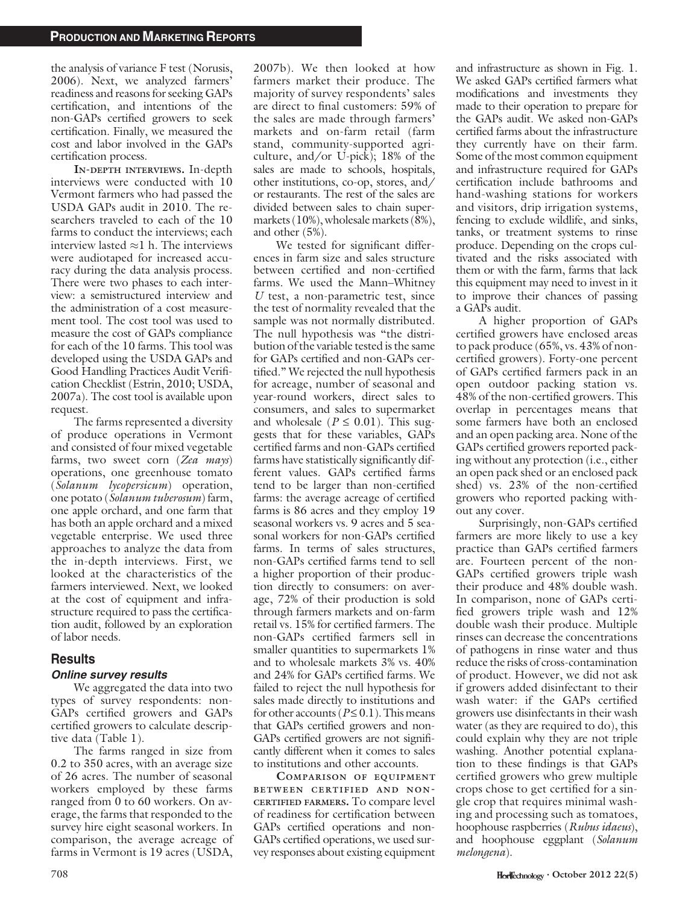the analysis of variance F test (Norusis, 2006). Next, we analyzed farmers' readiness and reasons for seeking GAPs certification, and intentions of the non-GAPs certified growers to seek certification. Finally, we measured the cost and labor involved in the GAPs certification process.

IN-DEPTH INTERVIEWS. In-depth interviews were conducted with 10 Vermont farmers who had passed the USDA GAPs audit in 2010. The researchers traveled to each of the 10 farms to conduct the interviews; each interview lasted  $\approx$ 1 h. The interviews were audiotaped for increased accuracy during the data analysis process. There were two phases to each interview: a semistructured interview and the administration of a cost measurement tool. The cost tool was used to measure the cost of GAPs compliance for each of the 10 farms. This tool was developed using the USDA GAPs and Good Handling Practices Audit Verification Checklist (Estrin, 2010; USDA, 2007a). The cost tool is available upon request.

The farms represented a diversity of produce operations in Vermont and consisted of four mixed vegetable farms, two sweet corn (Zea mays) operations, one greenhouse tomato (Solanum lycopersicum) operation, one potato (Solanum tuberosum) farm, one apple orchard, and one farm that has both an apple orchard and a mixed vegetable enterprise. We used three approaches to analyze the data from the in-depth interviews. First, we looked at the characteristics of the farmers interviewed. Next, we looked at the cost of equipment and infrastructure required to pass the certification audit, followed by an exploration of labor needs.

#### **Results**

#### Online survey results

We aggregated the data into two types of survey respondents: non-GAPs certified growers and GAPs certified growers to calculate descriptive data (Table 1).

The farms ranged in size from 0.2 to 350 acres, with an average size of 26 acres. The number of seasonal workers employed by these farms ranged from 0 to 60 workers. On average, the farms that responded to the survey hire eight seasonal workers. In comparison, the average acreage of farms in Vermont is 19 acres (USDA,

2007b). We then looked at how farmers market their produce. The majority of survey respondents' sales are direct to final customers: 59% of the sales are made through farmers' markets and on-farm retail (farm stand, community-supported agriculture, and/or U-pick); 18% of the sales are made to schools, hospitals, other institutions, co-op, stores, and/ or restaurants. The rest of the sales are divided between sales to chain supermarkets (10%), wholesale markets (8%), and other (5%).

We tested for significant differences in farm size and sales structure between certified and non-certified farms. We used the Mann–Whitney U test, a non-parametric test, since the test of normality revealed that the sample was not normally distributed. The null hypothesis was "the distribution of the variable tested is the same for GAPs certified and non-GAPs certified.'' We rejected the null hypothesis for acreage, number of seasonal and year-round workers, direct sales to consumers, and sales to supermarket and wholesale ( $P \leq 0.01$ ). This suggests that for these variables, GAPs certified farms and non-GAPs certified farms have statistically significantly different values. GAPs certified farms tend to be larger than non-certified farms: the average acreage of certified farms is 86 acres and they employ 19 seasonal workers vs. 9 acres and 5 seasonal workers for non-GAPs certified farms. In terms of sales structures, non-GAPs certified farms tend to sell a higher proportion of their production directly to consumers: on average, 72% of their production is sold through farmers markets and on-farm retail vs. 15% for certified farmers. The non-GAPs certified farmers sell in smaller quantities to supermarkets 1% and to wholesale markets 3% vs. 40% and 24% for GAPs certified farms. We failed to reject the null hypothesis for sales made directly to institutions and for other accounts ( $P \le 0.1$ ). This means that GAPs certified growers and non-GAPs certified growers are not significantly different when it comes to sales to institutions and other accounts.

COMPARISON OF EQUIPMENT BETWEEN CERTIFIED AND NON-CERTIFIED FARMERS. To compare level of readiness for certification between GAPs certified operations and non-GAPs certified operations, we used survey responses about existing equipment and infrastructure as shown in Fig. 1. We asked GAPs certified farmers what modifications and investments they made to their operation to prepare for the GAPs audit. We asked non-GAPs certified farms about the infrastructure they currently have on their farm. Some of the most common equipment and infrastructure required for GAPs certification include bathrooms and hand-washing stations for workers and visitors, drip irrigation systems, fencing to exclude wildlife, and sinks, tanks, or treatment systems to rinse produce. Depending on the crops cultivated and the risks associated with them or with the farm, farms that lack this equipment may need to invest in it to improve their chances of passing a GAPs audit.

A higher proportion of GAPs certified growers have enclosed areas to pack produce (65%, vs. 43% of noncertified growers). Forty-one percent of GAPs certified farmers pack in an open outdoor packing station vs. 48% of the non-certified growers. This overlap in percentages means that some farmers have both an enclosed and an open packing area. None of the GAPs certified growers reported packing without any protection (i.e., either an open pack shed or an enclosed pack shed) vs. 23% of the non-certified growers who reported packing without any cover.

Surprisingly, non-GAPs certified farmers are more likely to use a key practice than GAPs certified farmers are. Fourteen percent of the non-GAPs certified growers triple wash their produce and 48% double wash. In comparison, none of GAPs certified growers triple wash and 12% double wash their produce. Multiple rinses can decrease the concentrations of pathogens in rinse water and thus reduce the risks of cross-contamination of product. However, we did not ask if growers added disinfectant to their wash water: if the GAPs certified growers use disinfectants in their wash water (as they are required to do), this could explain why they are not triple washing. Another potential explanation to these findings is that GAPs certified growers who grew multiple crops chose to get certified for a single crop that requires minimal washing and processing such as tomatoes, hoophouse raspberries (Rubus idaeus), and hoophouse eggplant (Solanum melongena).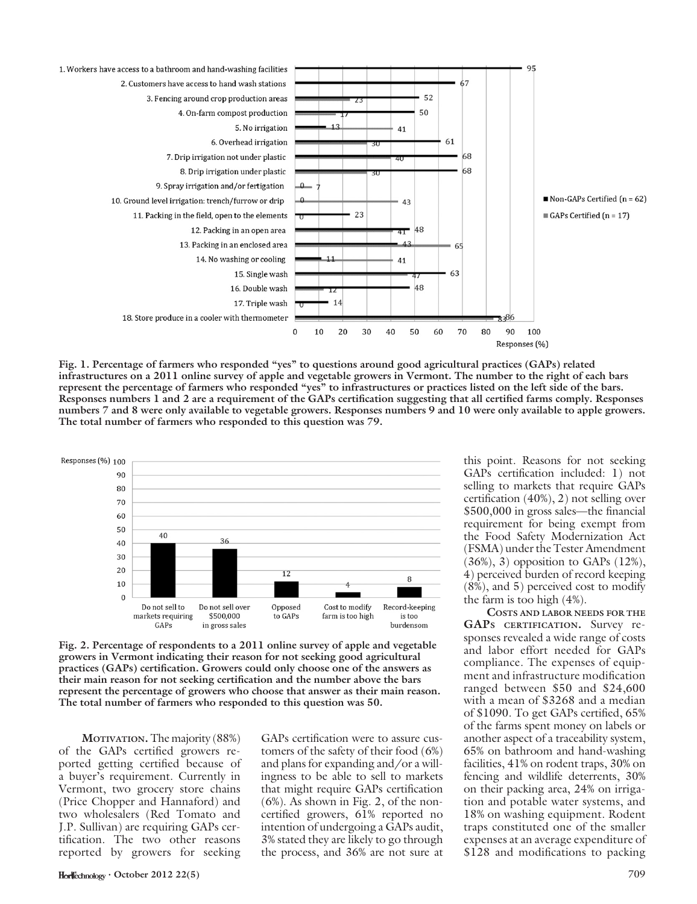

Fig. 1. Percentage of farmers who responded "yes" to questions around good agricultural practices (GAPs) related infrastructures on a 2011 online survey of apple and vegetable growers in Vermont. The number to the right of each bars represent the percentage of farmers who responded ''yes'' to infrastructures or practices listed on the left side of the bars. Responses numbers 1 and 2 are a requirement of the GAPs certification suggesting that all certified farms comply. Responses numbers 7 and 8 were only available to vegetable growers. Responses numbers 9 and 10 were only available to apple growers. The total number of farmers who responded to this question was 79.



Fig. 2. Percentage of respondents to a 2011 online survey of apple and vegetable growers in Vermont indicating their reason for not seeking good agricultural practices (GAPs) certification. Growers could only choose one of the answers as their main reason for not seeking certification and the number above the bars represent the percentage of growers who choose that answer as their main reason. The total number of farmers who responded to this question was 50.

MOTIVATION. The majority (88%) of the GAPs certified growers reported getting certified because of a buyer's requirement. Currently in Vermont, two grocery store chains (Price Chopper and Hannaford) and two wholesalers (Red Tomato and J.P. Sullivan) are requiring GAPs certification. The two other reasons reported by growers for seeking

GAPs certification were to assure customers of the safety of their food (6%) and plans for expanding and/or a willingness to be able to sell to markets that might require GAPs certification (6%). As shown in Fig. 2, of the noncertified growers, 61% reported no intention of undergoing a GAPs audit, 3% stated they are likely to go through the process, and 36% are not sure at this point. Reasons for not seeking GAPs certification included: 1) not selling to markets that require GAPs certification (40%), 2) not selling over \$500,000 in gross sales—the financial requirement for being exempt from the Food Safety Modernization Act (FSMA) under the Tester Amendment  $(36\%, 3)$  opposition to GAPs  $(12\%),$ 4) perceived burden of record keeping (8%), and 5) perceived cost to modify the farm is too high (4%).

COSTS AND LABOR NEEDS FOR THE GAPS CERTIFICATION. Survey responses revealed a wide range of costs and labor effort needed for GAPs compliance. The expenses of equipment and infrastructure modification ranged between \$50 and \$24,600 with a mean of \$3268 and a median of \$1090. To get GAPs certified, 65% of the farms spent money on labels or another aspect of a traceability system, 65% on bathroom and hand-washing facilities, 41% on rodent traps, 30% on fencing and wildlife deterrents, 30% on their packing area, 24% on irrigation and potable water systems, and 18% on washing equipment. Rodent traps constituted one of the smaller expenses at an average expenditure of \$128 and modifications to packing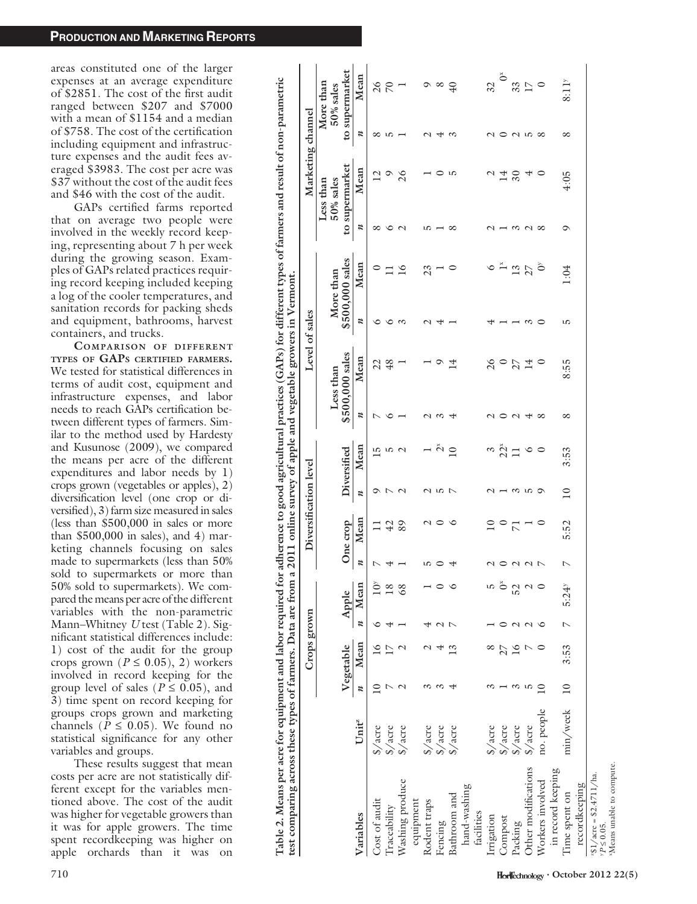areas constituted one of the larger expenses at an average expenditure of \$2851. The cost of the first audit ranged between \$207 and \$7000 with a mean of \$1154 and a median of \$758. The cost of the certification including equipment and infrastructure expenses and the audit fees averaged \$3983. The cost per acre was \$37 without the cost of the audit fees and \$46 with the cost of the audit.

GAPs certified farms reported that on average two people were involved in the weekly record keeping, representing about 7 h per week during the growing season. Examples of GAPs related practices requiring record keeping included keeping a log of the cooler temperatures, and sanitation records for packing sheds and equipment, bathrooms, harvest containers, and trucks.

COMPARISON OF DIFFERENT TYPES OF GAPS CERTIFIED FARMERS. We tested for statistical differences in terms of audit cost, equipment and infrastructure expenses, and labor needs to reach GAPs certification between different types of farmers. Similar to the method used by Hardesty and Kusunose (2009), we compared the means per acre of the different expenditures and labor needs by 1) crops grown (vegetables or apples), 2) diversification level (one crop or diversified), 3) farm size measured in sales (less than \$500,000 in sales or more than \$500,000 in sales), and 4) marketing channels focusing on sales made to supermarkets (less than 50% sold to supermarkets or more than 50% sold to supermarkets). We compared the means per acre of the different variables with the non-parametric Mann–Whitney U test (Table 2). Significant statistical differences include: 1) cost of the audit for the group crops grown ( $P \leq 0.05$ ), 2) workers involved in record keeping for the group level of sales ( $P \le 0.05$ ), and 3) time spent on record keeping for groups crops grown and marketing channels ( $P \leq 0.05$ ). We found no statistical significance for any other variables and groups.

These results suggest that mean costs per acre are not statistically different except for the variables mentioned above. The cost of the audit was higher for vegetable growers than it was for apple growers. The time spent recordkeeping was higher on apple orchards than it was on

Table 2. Means per acre for equipment and labor required for adherence to good agricultural practices (GAPs) for different types of farmers and result of non-parametric Table 2. Means per acre for equipment and labor required for adherence to good agricultural practices (GAPs) for different types of farmers and result of non-parametric test comparing across these types of farmers. Data are from a 2011 online survey of apple and vegetable growers in Vermont. test comparing across these types of farmers. Data are from a 2011 online survey of apple and vegetable growers in Vermont.

| D                                           |                         |                  |                 |                  |                                              |                  |                          |                          |                 |                  |                 |                  |                 |                  |                           |                            |                                   |
|---------------------------------------------|-------------------------|------------------|-----------------|------------------|----------------------------------------------|------------------|--------------------------|--------------------------|-----------------|------------------|-----------------|------------------|-----------------|------------------|---------------------------|----------------------------|-----------------------------------|
|                                             |                         |                  | Crops grown     |                  |                                              |                  | Diversification level    |                          |                 |                  | Level of sales  |                  |                 |                  | Marketing channel         |                            |                                   |
|                                             |                         |                  |                 |                  |                                              |                  |                          |                          |                 |                  | Less than       |                  | More than       |                  | $50\%$ sales<br>Less than |                            | More than<br>$50\%$ sales         |
|                                             |                         |                  | Vegetable       |                  | Apple                                        |                  | One crop                 | Diversified              |                 |                  | \$500,000 sales |                  | \$500,000 sales |                  | to supermarket            |                            | to supermarket                    |
| Variables                                   | Unit <sup>z</sup>       | $\boldsymbol{n}$ | Mean            | $\boldsymbol{z}$ | Mean                                         | $\boldsymbol{z}$ | Mean                     | n                        | Mean            | $\boldsymbol{z}$ | Mean            | $\boldsymbol{z}$ | Mean            | $\boldsymbol{z}$ | Mean                      | $\boldsymbol{\mathcal{U}}$ | Mean                              |
| Cost of audit                               | $\frac{1}{2}$ acre      |                  | $\geq$          |                  | ð                                            | ↖                |                          | ⌒                        | $\overline{15}$ | ⊵                | 22              | ∘                | 0               | ∞                | $\overline{2}$            | ∞                          | 26                                |
| Traceability                                | $\frac{1}{2}$ acre      |                  |                 |                  | $^{18}$                                      | 4                | 42                       | $\overline{C}$           | w               | ∘                | 48              | $\circ$          |                 | ७                | $\circ$                   | ro                         | $\sqrt{2}$                        |
| Washing produce                             | $\frac{1}{2}$ acre      |                  | $\mathcal{C}$   |                  | 68                                           |                  |                          | $\mathcal{L}$            | $\mathcal{L}$   |                  |                 | $\sim$           | 16              | $\mathcal{L}$    | 26                        |                            |                                   |
| equipment                                   |                         |                  |                 |                  |                                              |                  |                          |                          |                 |                  |                 |                  |                 |                  |                           |                            |                                   |
| Rodent traps                                | $\sqrt[6]{\text{acre}}$ |                  |                 |                  |                                              | ഥ                | $\sim$ $\sim$            |                          |                 | $\sim$           |                 | $\mathcal{L}$    | 23              | w                |                           | $\sim$                     | $\infty$ $\infty$                 |
| Fencing                                     | $\sqrt[6]{\text{acre}}$ |                  |                 |                  |                                              | ○                |                          | こうフ                      | $\frac{5}{10}$  | $\omega$         | $\circ$         | ₩                |                 |                  | ○                         | 4                          |                                   |
| Bathroom and                                | \$/acre                 |                  |                 |                  |                                              | 4                | $\circ$                  |                          |                 | 4                | $\overline{14}$ |                  | ○               | $\infty$         | r u                       | $\tilde{\varepsilon}$      | $^{40}$                           |
| hand-washing                                |                         |                  |                 |                  |                                              |                  |                          |                          |                 |                  |                 |                  |                 |                  |                           |                            |                                   |
| facilities                                  |                         |                  |                 |                  |                                              |                  |                          |                          |                 |                  |                 |                  |                 |                  |                           |                            |                                   |
| Irrigation                                  | \$/acre                 |                  |                 |                  | w                                            | $\mathcal{C}$    | $\supseteq$              | $\mathcal{C}$            | $\infty$        | $\sim$           | 26              | 4                | $\circ$         |                  |                           | $\mathcal{L}$              | $\overline{32}$                   |
| Compost                                     | $\frac{1}{2}$ acre      |                  |                 |                  | $\stackrel{\scriptscriptstyle\times}{\circ}$ |                  | $\circ$                  | $\overline{\phantom{0}}$ | 22 <sup>8</sup> | $\circ$          | $\circ$         | $ -$             |                 |                  | $\overline{14}$           | $\circ$                    | $\tilde{\mathbf{O}}^{\mathbf{x}}$ |
| Packing                                     | $\sqrt[6]{\text{acre}}$ | $\omega$         | $\overline{16}$ |                  | 52                                           | $O$ $N$ $N$ $N$  | $\overline{z}$           | ന ഥ                      |                 | $\sim$           | 27              | ۰                | $\frac{18}{13}$ | $\omega$         | $\approx$                 | $\omega$ ro                | 33                                |
| Other modifications                         | \$/acre                 | w                | ŗ               |                  | $\mathbf{\sim}$                              |                  | $\overline{\phantom{0}}$ |                          | $\circ$         | $\overline{a}$   | $\overline{14}$ | $\infty$         |                 | $\sim$           | ₩                         |                            | $17\,$                            |
| Workers involved                            | no. people              | $\supseteq$      |                 |                  |                                              |                  |                          | O                        | $\circ$         | ${}^{\circ}$     | ∊               | ⊂                | ð               | ${}^{\circ}$     | ○                         | $\infty$                   | $\circ$                           |
| in record keeping                           |                         |                  |                 |                  |                                              |                  |                          |                          |                 |                  |                 |                  |                 |                  |                           |                            |                                   |
| Time spent on                               | min/week                | $\overline{10}$  | 3:53            | $\overline{C}$   | $5:24^{y}$                                   | $\overline{a}$   | 5.52                     | $\overline{10}$          | 3:53            | ∞                | 8:55            | w                | 1:04            | ⊙                | 4:05                      | ∞                          | 8:11 <sup>y</sup>                 |
| recordkeeping                               |                         |                  |                 |                  |                                              |                  |                          |                          |                 |                  |                 |                  |                 |                  |                           |                            |                                   |
| $431/acc = $2.4711/ha$ .<br>$vP \le 0.05$ . |                         |                  |                 |                  |                                              |                  |                          |                          |                 |                  |                 |                  |                 |                  |                           |                            |                                   |
| <sup>x</sup> Means unable to compute.       |                         |                  |                 |                  |                                              |                  |                          |                          |                 |                  |                 |                  |                 |                  |                           |                            |                                   |
|                                             |                         |                  |                 |                  |                                              |                  |                          |                          |                 |                  |                 |                  |                 |                  |                           |                            |                                   |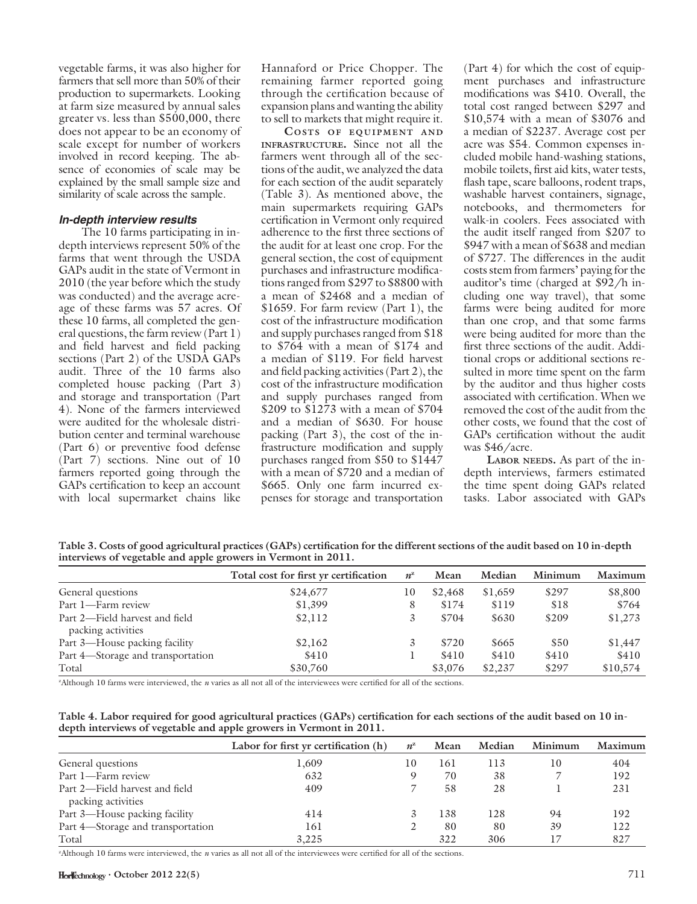vegetable farms, it was also higher for farmers that sell more than 50% of their production to supermarkets. Looking at farm size measured by annual sales greater vs. less than \$500,000, there does not appear to be an economy of scale except for number of workers involved in record keeping. The absence of economies of scale may be explained by the small sample size and similarity of scale across the sample.

#### In-depth interview results

The 10 farms participating in indepth interviews represent 50% of the farms that went through the USDA GAPs audit in the state of Vermont in 2010 (the year before which the study was conducted) and the average acreage of these farms was 57 acres. Of these 10 farms, all completed the general questions, the farm review (Part 1) and field harvest and field packing sections (Part 2) of the USDA GAPs audit. Three of the 10 farms also completed house packing (Part 3) and storage and transportation (Part 4). None of the farmers interviewed were audited for the wholesale distribution center and terminal warehouse (Part 6) or preventive food defense (Part 7) sections. Nine out of 10 farmers reported going through the GAPs certification to keep an account with local supermarket chains like

Hannaford or Price Chopper. The remaining farmer reported going through the certification because of expansion plans and wanting the ability to sell to markets that might require it.

COSTS OF EQUIPMENT AND INFRASTRUCTURE. Since not all the farmers went through all of the sections of the audit, we analyzed the data for each section of the audit separately (Table 3). As mentioned above, the main supermarkets requiring GAPs certification in Vermont only required adherence to the first three sections of the audit for at least one crop. For the general section, the cost of equipment purchases and infrastructure modifications ranged from \$297 to \$8800 with a mean of \$2468 and a median of \$1659. For farm review (Part 1), the cost of the infrastructure modification and supply purchases ranged from \$18 to \$764 with a mean of \$174 and a median of \$119. For field harvest and field packing activities (Part 2), the cost of the infrastructure modification and supply purchases ranged from \$209 to \$1273 with a mean of \$704 and a median of \$630. For house packing (Part 3), the cost of the infrastructure modification and supply purchases ranged from \$50 to \$1447 with a mean of \$720 and a median of \$665. Only one farm incurred expenses for storage and transportation

(Part 4) for which the cost of equipment purchases and infrastructure modifications was \$410. Overall, the total cost ranged between \$297 and \$10,574 with a mean of \$3076 and a median of \$2237. Average cost per acre was \$54. Common expenses included mobile hand-washing stations, mobile toilets, first aid kits, water tests, flash tape, scare balloons, rodent traps, washable harvest containers, signage, notebooks, and thermometers for walk-in coolers. Fees associated with the audit itself ranged from \$207 to \$947 with a mean of \$638 and median of \$727. The differences in the audit costs stem from farmers' paying for the auditor's time (charged at \$92/h including one way travel), that some farms were being audited for more than one crop, and that some farms were being audited for more than the first three sections of the audit. Additional crops or additional sections resulted in more time spent on the farm by the auditor and thus higher costs associated with certification. When we removed the cost of the audit from the other costs, we found that the cost of GAPs certification without the audit was \$46/acre.

LABOR NEEDS. As part of the indepth interviews, farmers estimated the time spent doing GAPs related tasks. Labor associated with GAPs

Table 3. Costs of good agricultural practices (GAPs) certification for the different sections of the audit based on 10 in-depth interviews of vegetable and apple growers in Vermont in 2011.

|                                                      | Total cost for first yr certification | $n^{\rm z}$ | Mean    | Median  | Minimum | Maximum  |
|------------------------------------------------------|---------------------------------------|-------------|---------|---------|---------|----------|
| General questions                                    | \$24,677                              | 10          | \$2,468 | \$1,659 | \$297   | \$8,800  |
| Part 1—Farm review                                   | \$1,399                               |             | \$174   | \$119   | \$18    | \$764    |
| Part 2—Field harvest and field<br>packing activities | \$2,112                               |             | \$704   | \$630   | \$209   | \$1,273  |
| Part 3-House packing facility                        | \$2,162                               |             | \$720   | \$665   | \$50    | \$1,447  |
| Part 4—Storage and transportation                    | \$410                                 |             | \$410   | \$410   | \$410   | \$410    |
| Total                                                | \$30,760                              |             | \$3,076 | \$2,237 | \$297   | \$10,574 |

z Although 10 farms were interviewed, the n varies as all not all of the interviewees were certified for all of the sections.

| Table 4. Labor required for good agricultural practices (GAPs) certification for each sections of the audit based on 10 in- |  |
|-----------------------------------------------------------------------------------------------------------------------------|--|
| depth interviews of vegetable and apple growers in Vermont in 2011.                                                         |  |

|                                                      | Labor for first yr certification (h) | $n^{\mathrm{z}}$ | Mean | Median | Minimum | Maximum |
|------------------------------------------------------|--------------------------------------|------------------|------|--------|---------|---------|
| General questions                                    | 1,609                                | 10               | 161  | 113    | 10      | 404     |
| Part 1—Farm review                                   | 632                                  |                  | 70   | 38     |         | 192     |
| Part 2—Field harvest and field<br>packing activities | 409                                  |                  | 58   | 28     |         | 231     |
| Part 3—House packing facility                        | 414                                  |                  | 138  | 128    | 94      | 192     |
| Part 4—Storage and transportation                    | 161                                  |                  | 80   | 80     | 39      | 122     |
| Total                                                | 3,225                                |                  | 322  | 306    | 17      | 827     |

z Although 10 farms were interviewed, the n varies as all not all of the interviewees were certified for all of the sections.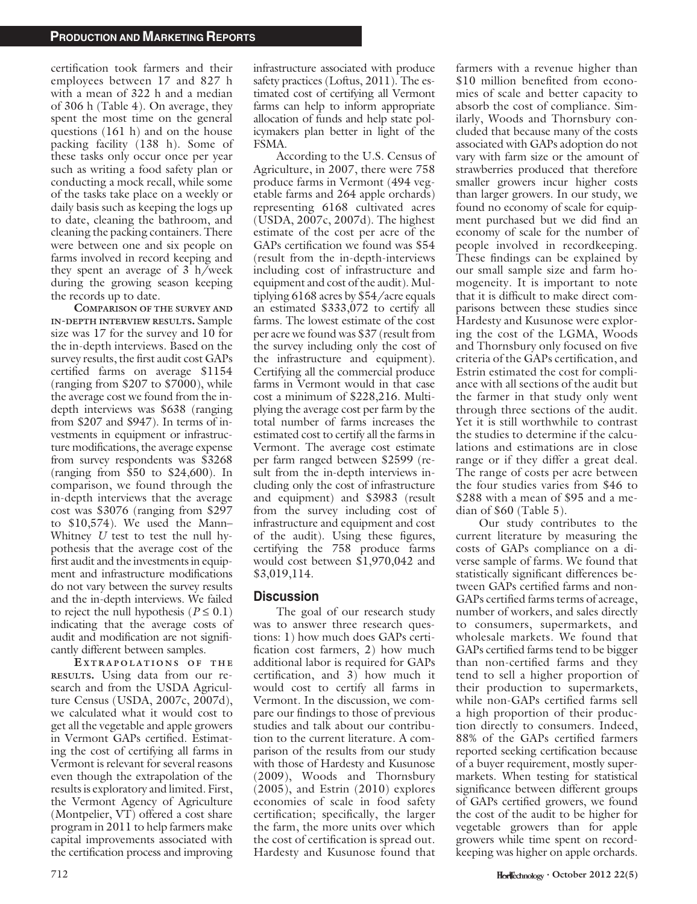certification took farmers and their employees between 17 and 827 h with a mean of 322 h and a median of 306 h (Table 4). On average, they spent the most time on the general questions (161 h) and on the house packing facility (138 h). Some of these tasks only occur once per year such as writing a food safety plan or conducting a mock recall, while some of the tasks take place on a weekly or daily basis such as keeping the logs up to date, cleaning the bathroom, and cleaning the packing containers. There were between one and six people on farms involved in record keeping and they spent an average of 3 h/week during the growing season keeping the records up to date.

COMPARISON OF THE SURVEY AND IN-DEPTH INTERVIEW RESULTS. Sample size was 17 for the survey and 10 for the in-depth interviews. Based on the survey results, the first audit cost GAPs certified farms on average \$1154 (ranging from \$207 to \$7000), while the average cost we found from the indepth interviews was \$638 (ranging from \$207 and \$947). In terms of investments in equipment or infrastructure modifications, the average expense from survey respondents was \$3268 (ranging from \$50 to \$24,600). In comparison, we found through the in-depth interviews that the average cost was \$3076 (ranging from \$297 to \$10,574). We used the Mann– Whitney  $U$  test to test the null hypothesis that the average cost of the first audit and the investments in equipment and infrastructure modifications do not vary between the survey results and the in-depth interviews. We failed to reject the null hypothesis ( $P \le 0.1$ ) indicating that the average costs of audit and modification are not significantly different between samples.

E XTRAPOLATIONS OF THE RESULTS. Using data from our research and from the USDA Agriculture Census (USDA, 2007c, 2007d), we calculated what it would cost to get all the vegetable and apple growers in Vermont GAPs certified. Estimating the cost of certifying all farms in Vermont is relevant for several reasons even though the extrapolation of the results is exploratory and limited. First, the Vermont Agency of Agriculture (Montpelier, VT) offered a cost share program in 2011 to help farmers make capital improvements associated with the certification process and improving infrastructure associated with produce safety practices (Loftus, 2011). The estimated cost of certifying all Vermont farms can help to inform appropriate allocation of funds and help state policymakers plan better in light of the FSMA.

According to the U.S. Census of Agriculture, in 2007, there were 758 produce farms in Vermont (494 vegetable farms and 264 apple orchards) representing 6168 cultivated acres (USDA, 2007c, 2007d). The highest estimate of the cost per acre of the GAPs certification we found was \$54 (result from the in-depth-interviews including cost of infrastructure and equipment and cost of the audit). Multiplying 6168 acres by \$54/acre equals an estimated \$333,072 to certify all farms. The lowest estimate of the cost per acre we found was \$37 (result from the survey including only the cost of the infrastructure and equipment). Certifying all the commercial produce farms in Vermont would in that case cost a minimum of \$228,216. Multiplying the average cost per farm by the total number of farms increases the estimated cost to certify all the farms in Vermont. The average cost estimate per farm ranged between \$2599 (result from the in-depth interviews including only the cost of infrastructure and equipment) and \$3983 (result from the survey including cost of infrastructure and equipment and cost of the audit). Using these figures, certifying the 758 produce farms would cost between \$1,970,042 and \$3,019,114.

#### **Discussion**

The goal of our research study was to answer three research questions: 1) how much does GAPs certification cost farmers, 2) how much additional labor is required for GAPs certification, and 3) how much it would cost to certify all farms in Vermont. In the discussion, we compare our findings to those of previous studies and talk about our contribution to the current literature. A comparison of the results from our study with those of Hardesty and Kusunose (2009), Woods and Thornsbury (2005), and Estrin (2010) explores economies of scale in food safety certification; specifically, the larger the farm, the more units over which the cost of certification is spread out. Hardesty and Kusunose found that farmers with a revenue higher than \$10 million benefited from economies of scale and better capacity to absorb the cost of compliance. Similarly, Woods and Thornsbury concluded that because many of the costs associated with GAPs adoption do not vary with farm size or the amount of strawberries produced that therefore smaller growers incur higher costs than larger growers. In our study, we found no economy of scale for equipment purchased but we did find an economy of scale for the number of people involved in recordkeeping. These findings can be explained by our small sample size and farm homogeneity. It is important to note that it is difficult to make direct comparisons between these studies since Hardesty and Kusunose were exploring the cost of the LGMA, Woods and Thornsbury only focused on five criteria of the GAPs certification, and Estrin estimated the cost for compliance with all sections of the audit but the farmer in that study only went through three sections of the audit. Yet it is still worthwhile to contrast the studies to determine if the calculations and estimations are in close range or if they differ a great deal. The range of costs per acre between the four studies varies from \$46 to \$288 with a mean of \$95 and a median of \$60 (Table 5).

Our study contributes to the current literature by measuring the costs of GAPs compliance on a diverse sample of farms. We found that statistically significant differences between GAPs certified farms and non-GAPs certified farms terms of acreage, number of workers, and sales directly to consumers, supermarkets, and wholesale markets. We found that GAPs certified farms tend to be bigger than non-certified farms and they tend to sell a higher proportion of their production to supermarkets, while non-GAPs certified farms sell a high proportion of their production directly to consumers. Indeed, 88% of the GAPs certified farmers reported seeking certification because of a buyer requirement, mostly supermarkets. When testing for statistical significance between different groups of GAPs certified growers, we found the cost of the audit to be higher for vegetable growers than for apple growers while time spent on recordkeeping was higher on apple orchards.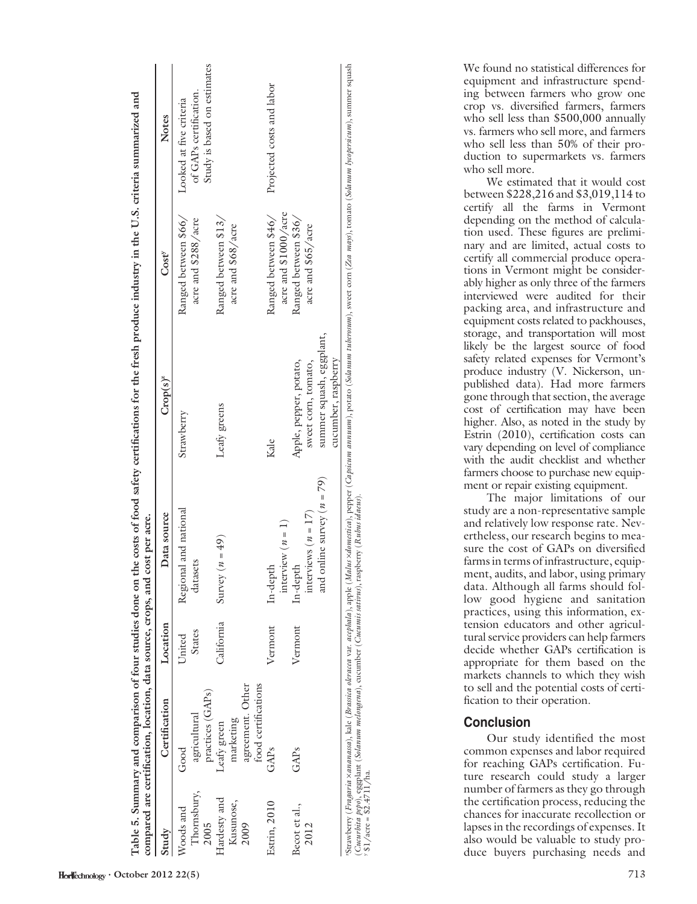| Study         | Certification       | Location      | Data source                    | $Crop(s)^{z}$            | $Cost^v$             | <b>Notes</b>                |
|---------------|---------------------|---------------|--------------------------------|--------------------------|----------------------|-----------------------------|
| Woods and     | ${\rm Good}$        | United        | Regional and national          | Strawberry               | Ranged between \$66/ | Looked at five criteria     |
| Thornsbury,   | agricultural        | <b>States</b> | datasets                       |                          | acre and \$288/acre  | of GAPs certification.      |
| 2005          | practices (GAPs)    |               |                                |                          |                      | Study is based on estimates |
| Hardesty and  | Leafy green         | California    | Survey $(n = 49)$              | Leafy greens             | Ranged between \$13/ |                             |
| Kusunose,     | marketing           |               |                                |                          | acre and \$68/acre   |                             |
| 2009          | agreement. Other    |               |                                |                          |                      |                             |
|               | food certifications |               |                                |                          |                      |                             |
| Estrin, 2010  | GAPs                | Vermont       | In-depth                       | Kale                     | Ranged between \$46/ | Projected costs and labor   |
|               |                     |               | interview $(n = 1)$            |                          | acre and \$1000/acre |                             |
| Becot et al., | GAPs                | Vermont       | $In$ -depth                    | Apple, pepper, potato,   | Ranged between \$36/ |                             |
| 2012          |                     |               | interviews ( $n = 17$ )        | sweet com, tomato,       | acre and \$65/acre   |                             |
|               |                     |               | and online survey ( $n = 79$ ) | summer squash, eggplant, |                      |                             |
|               |                     |               |                                | cucumber, raspberry      |                      |                             |

Table 5. Summary and comparison of four studies done on the costs of food safety certifications for the fresh produce industry in the U.S. criteria summarized and rized and Table 5. Summary and comparison of four studies done on the costs of food safety certifications for the fresh produce industry in the U.S. criteria summa Strawberry (Fragaria xananassa), kale (Brassica oleracca var. acephala), apple (Malus xdomestica), pepper<br>(Cucurbita pepo), eggplant (Solanum melongena), cucumber (Cucumis satirus), raspberry (Rubus idaeus).<br>y 81/acre = 82 (Cucurbita pepo), eggplant (Solanum melongena), cucumber (Cucumis sativus), raspberry (Rubus idaeus).  $y \sin(2\arccos(1-\frac{1}{2}))/\hbar a$ . We found no statistical differences for equipment and infrastructure spending between farmers who grow one crop vs. diversified farmers, farmers who sell less than \$500,000 annually vs. farmers who sell more, and farmers who sell less than 50% of their production to supermarkets vs. farmers who sell more.

We estimated that it would cost between \$228,216 and \$3,019,114 to certify all the farms in Vermont depending on the method of calculation used. These figures are preliminary and are limited, actual costs to certify all commercial produce operations in Vermont might be considerably higher as only three of the farmers interviewed were audited for their packing area, and infrastructure and equipment costs related to packhouses, storage, and transportation will most likely be the largest source of food safety related expenses for Vermont's produce industry (V. Nickerson, unpublished data). Had more farmers gone through that section, the average cost of certification may have been higher. Also, as noted in the study by Estrin (2010), certification costs can vary depending on level of compliance with the audit checklist and whether farmers choose to purchase new equipment or repair existing equipment.

The major limitations of our study are a non-representative sample and relatively low response rate. Nevertheless, our research begins to measure the cost of GAPs on diversified farms in terms of infrastructure, equipment, audits, and labor, using primary data. Although all farms should follow good hygiene and sanitation practices, using this information, extension educators and other agricultural service providers can help farmers decide whether GAPs certification is appropriate for them based on the markets channels to which they wish to sell and the potential costs of certification to their operation.

#### Conclusion

Our study identified the most common expenses and labor required for reaching GAPs certification. Future research could study a larger number of farmers as they go through the certification process, reducing the chances for inaccurate recollection or lapses in the recordings of expenses. It also would be valuable to study produce buyers purchasing needs and